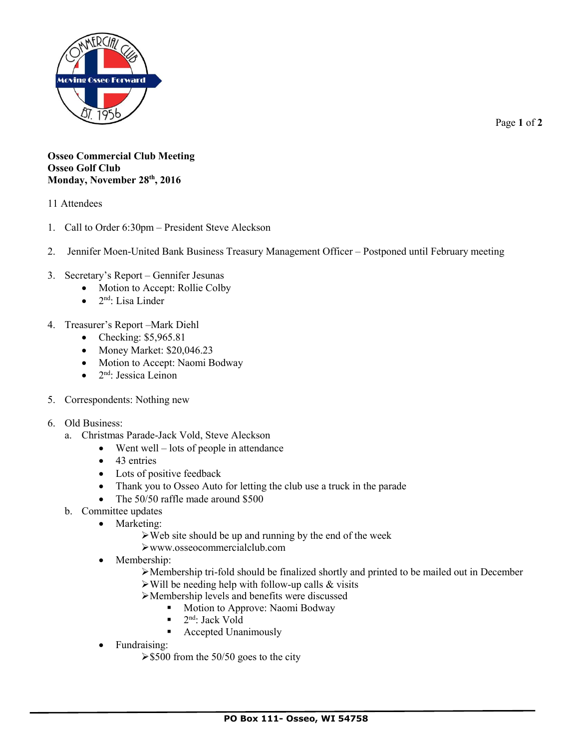

Page **1** of **2**

## **Osseo Commercial Club Meeting Osseo Golf Club Monday, November 28th , 2016**

11 Attendees

- 1. Call to Order 6:30pm President Steve Aleckson
- 2. Jennifer Moen-United Bank Business Treasury Management Officer Postponed until February meeting
- 3. Secretary's Report Gennifer Jesunas
	- Motion to Accept: Rollie Colby
	- $\bullet$  2<sup>nd</sup>: Lisa Linder
- 4. Treasurer's Report –Mark Diehl
	- $\bullet$  Checking: \$5,965.81
	- $\bullet$  Money Market: \$20,046.23
	- Motion to Accept: Naomi Bodway
	- $\bullet$   $2<sup>nd</sup>$ : Jessica Leinon
- 5. Correspondents: Nothing new
- 6. Old Business:
	- a. Christmas Parade-Jack Vold, Steve Aleckson
		- Went well lots of people in attendance
			- $\bullet$  43 entries
			- Lots of positive feedback
			- Thank you to Osseo Auto for letting the club use a truck in the parade
			- The 50/50 raffle made around \$500
	- b. Committee updates
		- Marketing:
			- $\triangleright$  Web site should be up and running by the end of the week
			- www.osseocommercialclub.com
		- Membership:
			- Membership tri-fold should be finalized shortly and printed to be mailed out in December  $\triangleright$  Will be needing help with follow-up calls & visits
			- Membership levels and benefits were discussed
				- Motion to Approve: Naomi Bodway
				- $\blacksquare$  2<sup>nd</sup>: Jack Vold
				- Accepted Unanimously
		- Fundraising:
			- $\geq$ \$500 from the 50/50 goes to the city